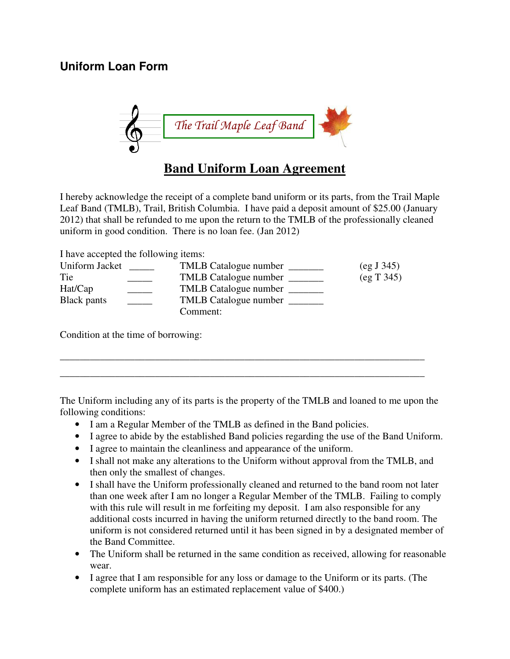

I hereby acknowledge the receipt of a complete band uniform or its parts, from the Trail Maple Leaf Band (TMLB), Trail, British Columbia. I have paid a deposit amount of \$25.00 (January 2012) that shall be refunded to me upon the return to the TMLB of the professionally cleaned uniform in good condition. There is no loan fee. (Jan 2012)

I have accepted the following items:

| Uniform Jacket | TMLB Catalogue number | (eg J 345) |
|----------------|-----------------------|------------|
| Tie            | TMLB Catalogue number | (eg T 345) |
| Hat(Cap        | TMLB Catalogue number |            |
| Black pants    | TMLB Catalogue number |            |
|                | Comment:              |            |

Condition at the time of borrowing:

The Uniform including any of its parts is the property of the TMLB and loaned to me upon the following conditions:

\_\_\_\_\_\_\_\_\_\_\_\_\_\_\_\_\_\_\_\_\_\_\_\_\_\_\_\_\_\_\_\_\_\_\_\_\_\_\_\_\_\_\_\_\_\_\_\_\_\_\_\_\_\_\_\_\_\_\_\_\_\_\_\_\_\_\_\_\_\_\_\_\_ \_\_\_\_\_\_\_\_\_\_\_\_\_\_\_\_\_\_\_\_\_\_\_\_\_\_\_\_\_\_\_\_\_\_\_\_\_\_\_\_\_\_\_\_\_\_\_\_\_\_\_\_\_\_\_\_\_\_\_\_\_\_\_\_\_\_\_\_\_\_\_\_\_

- I am a Regular Member of the TMLB as defined in the Band policies.
- I agree to abide by the established Band policies regarding the use of the Band Uniform.
- I agree to maintain the cleanliness and appearance of the uniform.
- I shall not make any alterations to the Uniform without approval from the TMLB, and then only the smallest of changes.
- I shall have the Uniform professionally cleaned and returned to the band room not later than one week after I am no longer a Regular Member of the TMLB. Failing to comply with this rule will result in me forfeiting my deposit. I am also responsible for any additional costs incurred in having the uniform returned directly to the band room. The uniform is not considered returned until it has been signed in by a designated member of the Band Committee.
- The Uniform shall be returned in the same condition as received, allowing for reasonable wear.
- I agree that I am responsible for any loss or damage to the Uniform or its parts. (The complete uniform has an estimated replacement value of \$400.)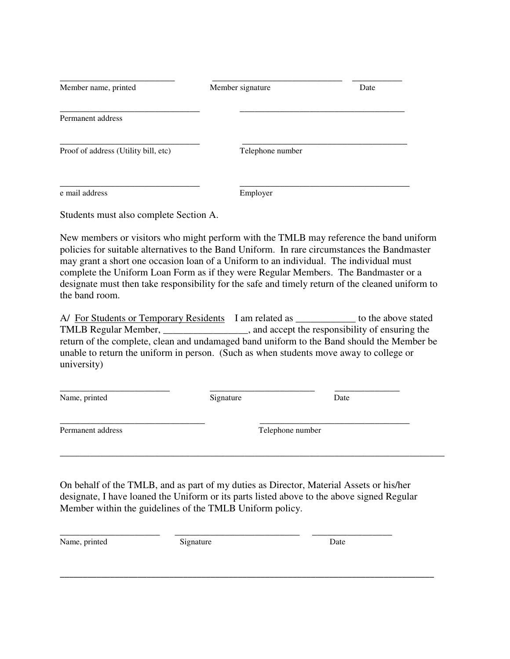| Member name, printed                   | Member signature | Date |
|----------------------------------------|------------------|------|
| Permanent address                      |                  |      |
| Proof of address (Utility bill, etc)   | Telephone number |      |
| e mail address                         | Employer         |      |
| Students must also complete Section A. |                  |      |

New members or visitors who might perform with the TMLB may reference the band uniform policies for suitable alternatives to the Band Uniform. In rare circumstances the Bandmaster may grant a short one occasion loan of a Uniform to an individual. The individual must complete the Uniform Loan Form as if they were Regular Members. The Bandmaster or a designate must then take responsibility for the safe and timely return of the cleaned uniform to the band room.

A/ For Students or Temporary Residents I am related as \_\_\_\_\_\_\_\_\_\_\_\_ to the above stated TMLB Regular Member, \_\_\_\_\_\_\_\_\_\_\_\_\_\_\_\_\_, and accept the responsibility of ensuring the return of the complete, clean and undamaged band uniform to the Band should the Member be unable to return the uniform in person. (Such as when students move away to college or university)

Name, printed Date Signature Date

\_\_\_\_\_\_\_\_\_\_\_\_\_\_\_\_\_\_\_\_\_\_ \_\_\_\_\_\_\_\_\_\_\_\_\_\_\_\_\_\_\_\_\_ \_\_\_\_\_\_\_\_\_\_\_\_\_

Permanent address Telephone number

\_\_\_\_\_\_\_\_\_\_\_\_\_\_\_\_\_\_\_\_\_\_\_\_\_\_\_\_\_ \_\_\_\_\_\_\_\_\_\_\_\_\_\_\_\_\_\_\_\_\_\_\_\_\_\_\_\_\_\_

On behalf of the TMLB, and as part of my duties as Director, Material Assets or his/her designate, I have loaned the Uniform or its parts listed above to the above signed Regular Member within the guidelines of the TMLB Uniform policy.

\_\_\_\_\_\_\_\_\_\_\_\_\_\_\_\_\_\_\_\_\_\_\_\_\_\_\_\_\_\_\_\_\_\_\_\_\_\_\_\_\_\_\_\_\_\_\_\_\_\_\_\_\_\_\_\_\_\_\_\_\_\_\_\_\_\_\_\_\_\_\_\_\_\_\_\_\_\_\_\_\_\_

\_\_\_\_\_\_\_\_\_\_\_\_\_\_\_\_\_\_\_\_\_\_\_\_\_\_\_\_\_\_\_\_\_\_\_\_\_\_\_\_\_\_\_\_\_\_\_\_\_\_\_\_\_\_\_\_\_\_\_\_\_\_\_\_\_\_\_\_\_\_\_\_\_\_\_\_\_

Name, printed Signature Date

\_\_\_\_\_\_\_\_\_\_\_\_\_\_\_\_\_\_\_\_ \_\_\_\_\_\_\_\_\_\_\_\_\_\_\_\_\_\_\_\_\_\_\_\_\_ \_\_\_\_\_\_\_\_\_\_\_\_\_\_\_\_